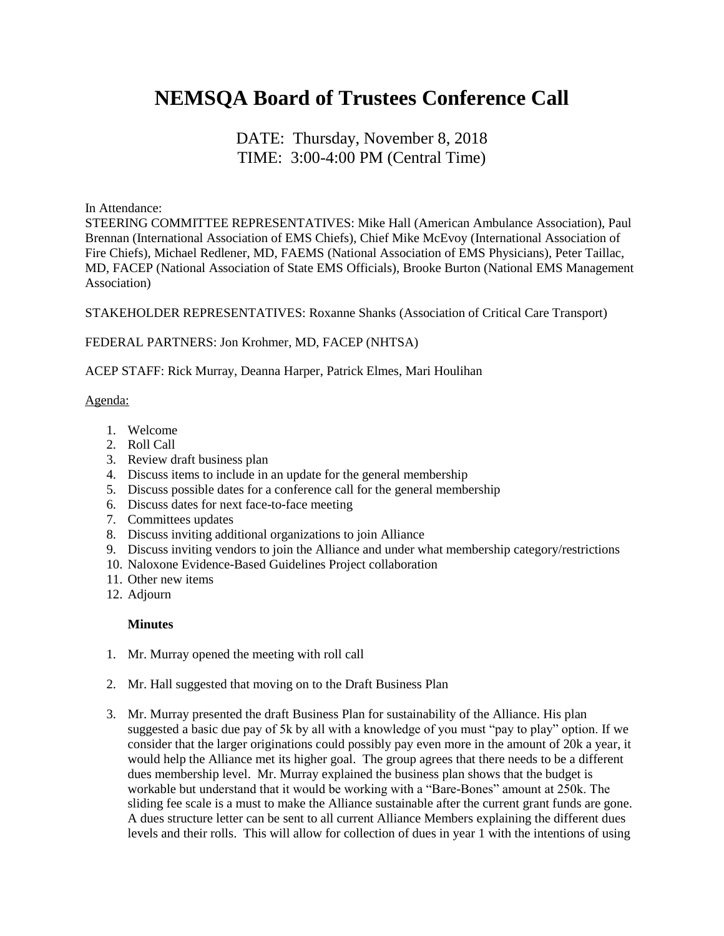# **NEMSQA Board of Trustees Conference Call**

## DATE: Thursday, November 8, 2018 TIME: 3:00-4:00 PM (Central Time)

In Attendance:

STEERING COMMITTEE REPRESENTATIVES: Mike Hall (American Ambulance Association), Paul Brennan (International Association of EMS Chiefs), Chief Mike McEvoy (International Association of Fire Chiefs), Michael Redlener, MD, FAEMS (National Association of EMS Physicians), Peter Taillac, MD, FACEP (National Association of State EMS Officials), Brooke Burton (National EMS Management Association)

STAKEHOLDER REPRESENTATIVES: Roxanne Shanks (Association of Critical Care Transport)

### FEDERAL PARTNERS: Jon Krohmer, MD, FACEP (NHTSA)

ACEP STAFF: Rick Murray, Deanna Harper, Patrick Elmes, Mari Houlihan

#### Agenda:

- 1. Welcome
- 2. Roll Call
- 3. Review draft business plan
- 4. Discuss items to include in an update for the general membership
- 5. Discuss possible dates for a conference call for the general membership
- 6. Discuss dates for next face-to-face meeting
- 7. Committees updates
- 8. Discuss inviting additional organizations to join Alliance
- 9. Discuss inviting vendors to join the Alliance and under what membership category/restrictions
- 10. Naloxone Evidence-Based Guidelines Project collaboration
- 11. Other new items
- 12. Adjourn

### **Minutes**

- 1. Mr. Murray opened the meeting with roll call
- 2. Mr. Hall suggested that moving on to the Draft Business Plan
- 3. Mr. Murray presented the draft Business Plan for sustainability of the Alliance. His plan suggested a basic due pay of 5k by all with a knowledge of you must "pay to play" option. If we consider that the larger originations could possibly pay even more in the amount of 20k a year, it would help the Alliance met its higher goal. The group agrees that there needs to be a different dues membership level. Mr. Murray explained the business plan shows that the budget is workable but understand that it would be working with a "Bare-Bones" amount at 250k. The sliding fee scale is a must to make the Alliance sustainable after the current grant funds are gone. A dues structure letter can be sent to all current Alliance Members explaining the different dues levels and their rolls. This will allow for collection of dues in year 1 with the intentions of using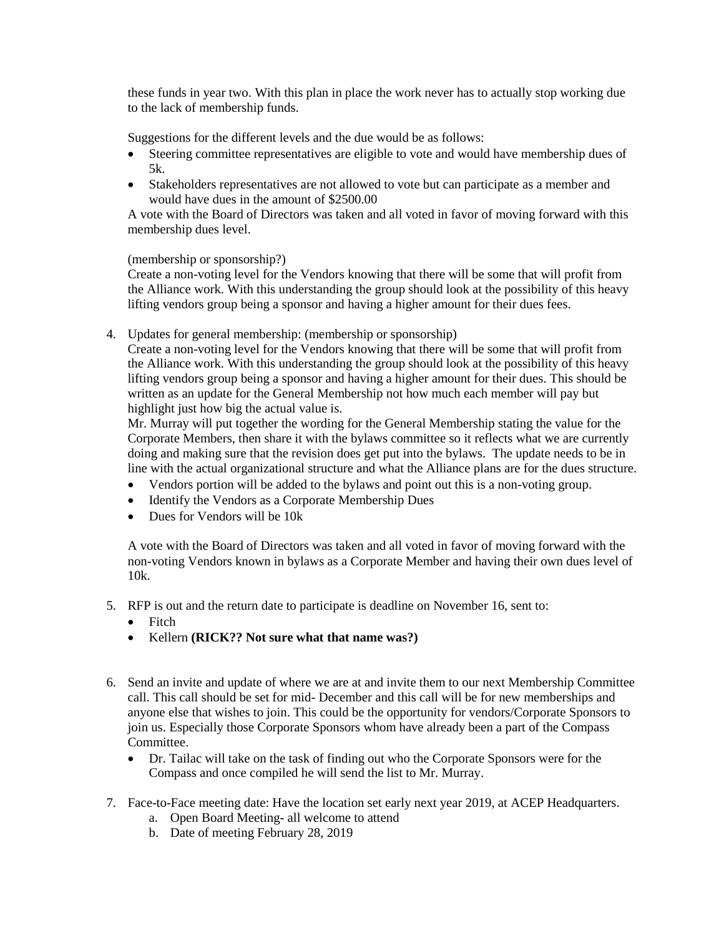these funds in year two. With this plan in place the work never has to actually stop working due to the lack of membership funds.

Suggestions for the different levels and the due would be as follows:

- Steering committee representatives are eligible to vote and would have membership dues of 5k.
- Stakeholders representatives are not allowed to vote but can participate as a member and would have dues in the amount of \$2500.00

A vote with the Board of Directors was taken and all voted in favor of moving forward with this membership dues level.

(membership or sponsorship?)

Create a non-voting level for the Vendors knowing that there will be some that will profit from the Alliance work. With this understanding the group should look at the possibility of this heavy lifting vendors group being a sponsor and having a higher amount for their dues fees.

4. Updates for general membership: (membership or sponsorship)

Create a non-voting level for the Vendors knowing that there will be some that will profit from the Alliance work. With this understanding the group should look at the possibility of this heavy lifting vendors group being a sponsor and having a higher amount for their dues. This should be written as an update for the General Membership not how much each member will pay but highlight just how big the actual value is.

Mr. Murray will put together the wording for the General Membership stating the value for the Corporate Members, then share it with the bylaws committee so it reflects what we are currently doing and making sure that the revision does get put into the bylaws. The update needs to be in line with the actual organizational structure and what the Alliance plans are for the dues structure.

- Vendors portion will be added to the bylaws and point out this is a non-voting group.
- Identify the Vendors as a Corporate Membership Dues
- Dues for Vendors will be 10k

A vote with the Board of Directors was taken and all voted in favor of moving forward with the non-voting Vendors known in bylaws as a Corporate Member and having their own dues level of 10k.

- 5. RFP is out and the return date to participate is deadline on November 16, sent to:
	- Fitch
	- Kellern **(RICK?? Not sure what that name was?)**
- 6. Send an invite and update of where we are at and invite them to our next Membership Committee call. This call should be set for mid- December and this call will be for new memberships and anyone else that wishes to join. This could be the opportunity for vendors/Corporate Sponsors to join us. Especially those Corporate Sponsors whom have already been a part of the Compass Committee.
	- Dr. Tailac will take on the task of finding out who the Corporate Sponsors were for the Compass and once compiled he will send the list to Mr. Murray.
- 7. Face-to-Face meeting date: Have the location set early next year 2019, at ACEP Headquarters.
	- a. Open Board Meeting- all welcome to attend
	- b. Date of meeting February 28, 2019